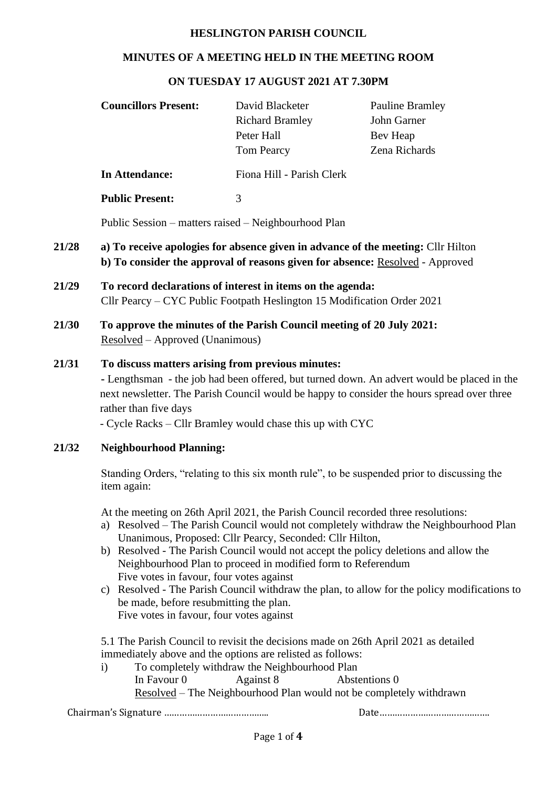#### **HESLINGTON PARISH COUNCIL**

#### **MINUTES OF A MEETING HELD IN THE MEETING ROOM**

#### **ON TUESDAY 17 AUGUST 2021 AT 7.30PM**

|       | <b>Councillors Present:</b>                                                                                                                                                                                                                                                                                                                                                                                                                                                                                                                                                                                                         | David Blacketer<br><b>Richard Bramley</b><br>Peter Hall<br>Tom Pearcy | <b>Pauline Bramley</b><br>John Garner<br>Bev Heap<br>Zena Richards |  |  |  |
|-------|-------------------------------------------------------------------------------------------------------------------------------------------------------------------------------------------------------------------------------------------------------------------------------------------------------------------------------------------------------------------------------------------------------------------------------------------------------------------------------------------------------------------------------------------------------------------------------------------------------------------------------------|-----------------------------------------------------------------------|--------------------------------------------------------------------|--|--|--|
|       | <b>In Attendance:</b>                                                                                                                                                                                                                                                                                                                                                                                                                                                                                                                                                                                                               | Fiona Hill - Parish Clerk                                             |                                                                    |  |  |  |
|       | <b>Public Present:</b>                                                                                                                                                                                                                                                                                                                                                                                                                                                                                                                                                                                                              | 3                                                                     |                                                                    |  |  |  |
|       | Public Session – matters raised – Neighbourhood Plan                                                                                                                                                                                                                                                                                                                                                                                                                                                                                                                                                                                |                                                                       |                                                                    |  |  |  |
| 21/28 | a) To receive apologies for absence given in advance of the meeting: Cllr Hilton<br>b) To consider the approval of reasons given for absence: Resolved - Approved                                                                                                                                                                                                                                                                                                                                                                                                                                                                   |                                                                       |                                                                    |  |  |  |
| 21/29 | To record declarations of interest in items on the agenda:<br>Cllr Pearcy – CYC Public Footpath Heslington 15 Modification Order 2021                                                                                                                                                                                                                                                                                                                                                                                                                                                                                               |                                                                       |                                                                    |  |  |  |
| 21/30 | To approve the minutes of the Parish Council meeting of 20 July 2021:<br>Resolved – Approved (Unanimous)                                                                                                                                                                                                                                                                                                                                                                                                                                                                                                                            |                                                                       |                                                                    |  |  |  |
| 21/31 | To discuss matters arising from previous minutes:<br>- Lengthsman - the job had been offered, but turned down. An advert would be placed in the<br>next newsletter. The Parish Council would be happy to consider the hours spread over three<br>rather than five days<br>- Cycle Racks – Cllr Bramley would chase this up with CYC                                                                                                                                                                                                                                                                                                 |                                                                       |                                                                    |  |  |  |
| 21/32 | <b>Neighbourhood Planning:</b>                                                                                                                                                                                                                                                                                                                                                                                                                                                                                                                                                                                                      |                                                                       |                                                                    |  |  |  |
|       | Standing Orders, "relating to this six month rule", to be suspended prior to discussing the<br>item again:                                                                                                                                                                                                                                                                                                                                                                                                                                                                                                                          |                                                                       |                                                                    |  |  |  |
|       | At the meeting on 26th April 2021, the Parish Council recorded three resolutions:<br>a) Resolved – The Parish Council would not completely withdraw the Neighbourhood Plan<br>Unanimous, Proposed: Cllr Pearcy, Seconded: Cllr Hilton,<br>b) Resolved - The Parish Council would not accept the policy deletions and allow the<br>Neighbourhood Plan to proceed in modified form to Referendum<br>Five votes in favour, four votes against<br>Resolved - The Parish Council withdraw the plan, to allow for the policy modifications to<br>C)<br>be made, before resubmitting the plan.<br>Five votes in favour, four votes against |                                                                       |                                                                    |  |  |  |
|       | 5.1 The Parish Council to revisit the decisions made on 26th April 2021 as detailed<br>immediately above and the options are relisted as follows:<br>To completely withdraw the Neighbourhood Plan<br>$\mathbf{i}$<br>In Favour 0<br>Against 8<br>Abstentions 0<br>Resolved - The Neighbourhood Plan would not be completely withdrawn                                                                                                                                                                                                                                                                                              |                                                                       |                                                                    |  |  |  |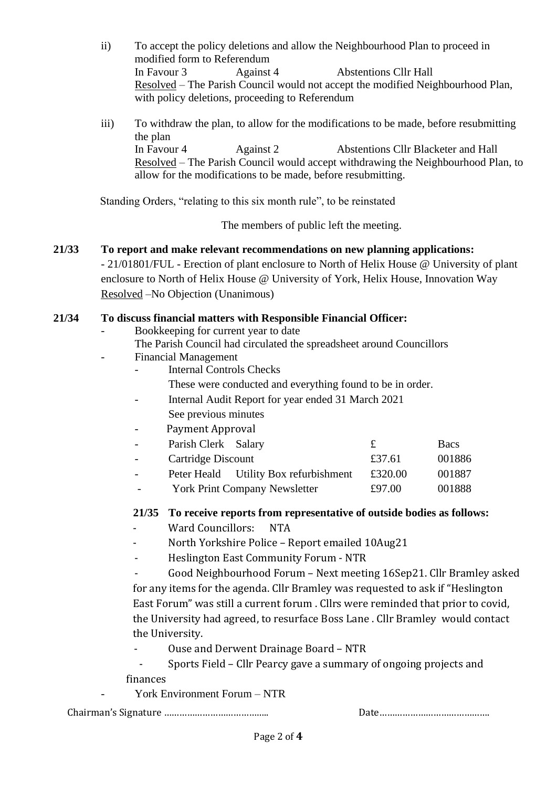- ii) To accept the policy deletions and allow the Neighbourhood Plan to proceed in modified form to Referendum In Favour 3 Against 4 Abstentions Cllr Hall Resolved – The Parish Council would not accept the modified Neighbourhood Plan, with policy deletions, proceeding to Referendum
- iii) To withdraw the plan, to allow for the modifications to be made, before resubmitting the plan In Favour 4 Against 2 Abstentions Cllr Blacketer and Hall Resolved – The Parish Council would accept withdrawing the Neighbourhood Plan, to allow for the modifications to be made, before resubmitting.

Standing Orders, "relating to this six month rule", to be reinstated

The members of public left the meeting.

# **21/33 To report and make relevant recommendations on new planning applications:**  - 21/01801/FUL - Erection of plant enclosure to North of Helix House @ University of plant enclosure to North of Helix House @ University of York, Helix House, Innovation Way Resolved –No Objection (Unanimous)

#### **21/34 To discuss financial matters with Responsible Financial Officer:**

- Bookkeeping for current year to date
	- The Parish Council had circulated the spreadsheet around Councillors
- Financial Management
	- Internal Controls Checks
		- These were conducted and everything found to be in order.
	- Internal Audit Report for year ended 31 March 2021 See previous minutes
	- Payment Approval
	- Parish Clerk Salary **£** Bacs
	- Cartridge Discount £37.61 001886 - Peter Heald Utility Box refurbishment £320.00 001887
	- York Print Company Newsletter  $£97.00$  001888

**21/35 To receive reports from representative of outside bodies as follows:** 

- Ward Councillors: NTA
- North Yorkshire Police Report emailed 10Aug21
- Heslington East Community Forum NTR
- Good Neighbourhood Forum Next meeting 16Sep21. Cllr Bramley asked for any items for the agenda. Cllr Bramley was requested to ask if "Heslington East Forum" was still a current forum . Cllrs were reminded that prior to covid, the University had agreed, to resurface Boss Lane . Cllr Bramley would contact the University.
- Ouse and Derwent Drainage Board NTR
- Sports Field Cllr Pearcy gave a summary of ongoing projects and finances
- York Environment Forum NTR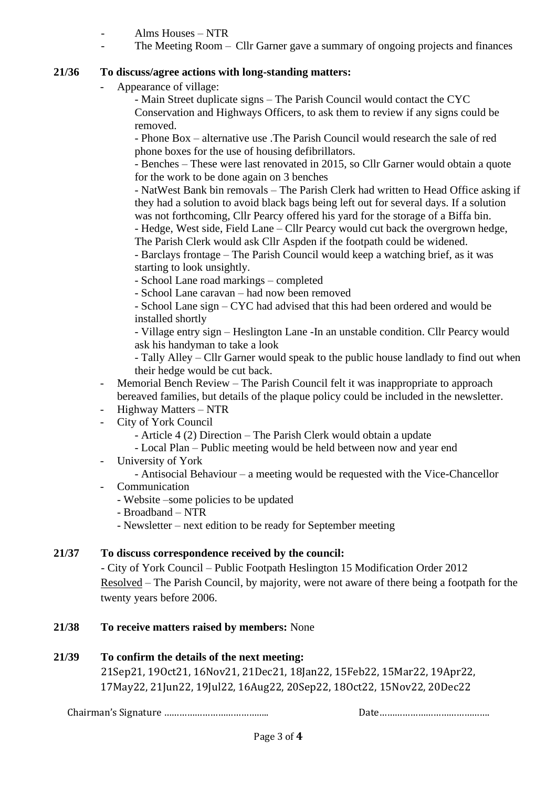- Alms Houses – NTR

- The Meeting Room – Cllr Garner gave a summary of ongoing projects and finances

## **21/36 To discuss/agree actions with long-standing matters:**

Appearance of village:

- Main Street duplicate signs – The Parish Council would contact the CYC Conservation and Highways Officers, to ask them to review if any signs could be removed.

- Phone Box – alternative use .The Parish Council would research the sale of red phone boxes for the use of housing defibrillators.

- Benches – These were last renovated in 2015, so Cllr Garner would obtain a quote for the work to be done again on 3 benches

- NatWest Bank bin removals – The Parish Clerk had written to Head Office asking if they had a solution to avoid black bags being left out for several days. If a solution was not forthcoming, Cllr Pearcy offered his yard for the storage of a Biffa bin.

- Hedge, West side, Field Lane – Cllr Pearcy would cut back the overgrown hedge, The Parish Clerk would ask Cllr Aspden if the footpath could be widened.

- Barclays frontage – The Parish Council would keep a watching brief, as it was starting to look unsightly.

- School Lane road markings – completed

- School Lane caravan – had now been removed

- School Lane sign – CYC had advised that this had been ordered and would be installed shortly

- Village entry sign – Heslington Lane -In an unstable condition. Cllr Pearcy would ask his handyman to take a look

- Tally Alley – Cllr Garner would speak to the public house landlady to find out when their hedge would be cut back.

- Memorial Bench Review The Parish Council felt it was inappropriate to approach bereaved families, but details of the plaque policy could be included in the newsletter.
- Highway Matters NTR
- City of York Council

- Article 4 (2) Direction – The Parish Clerk would obtain a update

- Local Plan Public meeting would be held between now and year end
- University of York
	- Antisocial Behaviour a meeting would be requested with the Vice-Chancellor
- Communication
	- Website –some policies to be updated
	- Broadband NTR
	- Newsletter next edition to be ready for September meeting

## **21/37 To discuss correspondence received by the council:**

- City of York Council – Public Footpath Heslington 15 Modification Order 2012 Resolved – The Parish Council, by majority, were not aware of there being a footpath for the twenty years before 2006.

**21/38 To receive matters raised by members:** None

# **21/39 To confirm the details of the next meeting:**

21Sep21, 19Oct21, 16Nov21, 21Dec21, 18Jan22, 15Feb22, 15Mar22, 19Apr22, 17May22, 21Jun22, 19Jul22, 16Aug22, 20Sep22, 18Oct22, 15Nov22, 20Dec22